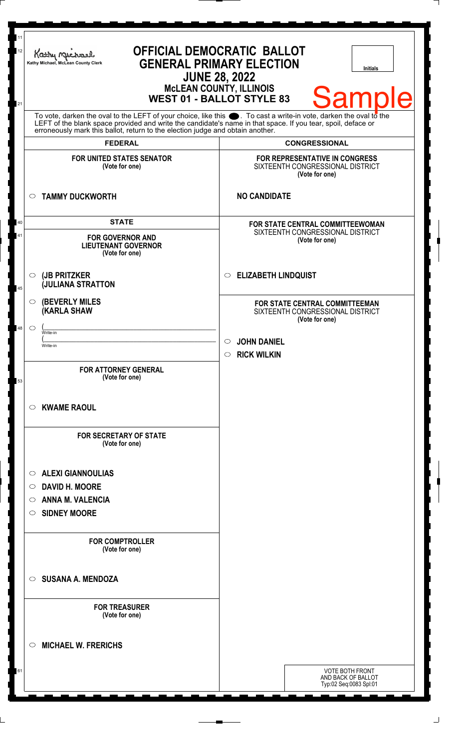| 11<br>$12\,$ | Kathy Myre<br>Kathy Michael, McLean County Clerk                                                                                                                                                                                                                                          | <b>OFFICIAL DEMOCRATIC BALLOT</b><br><b>GENERAL PRIMARY ELECTION</b><br><b>Initials</b><br><b>JUNE 28, 2022</b><br><b>MCLEAN COUNTY, ILLINOIS</b> |
|--------------|-------------------------------------------------------------------------------------------------------------------------------------------------------------------------------------------------------------------------------------------------------------------------------------------|---------------------------------------------------------------------------------------------------------------------------------------------------|
| 21           | <b>Sample</b><br><b>WEST 01 - BALLOT STYLE 83</b><br>To vote, darken the oval to the LEFT of your choice, like this $\bullet$ . To cast a write-in vote, darken the oval to the LEFT of the blank space provided and write the candidate's name in that space. If you tear, spoil, deface |                                                                                                                                                   |
|              | erroneously mark this ballot, return to the election judge and obtain another.<br><b>FEDERAL</b>                                                                                                                                                                                          | <b>CONGRESSIONAL</b>                                                                                                                              |
|              | <b>FOR UNITED STATES SENATOR</b><br>(Vote for one)                                                                                                                                                                                                                                        | <b>FOR REPRESENTATIVE IN CONGRESS</b><br>SIXTEENTH CONGRESSIONAL DISTRICT<br>(Vote for one)                                                       |
|              | <b>TAMMY DUCKWORTH</b><br>$\circ$                                                                                                                                                                                                                                                         | <b>NO CANDIDATE</b>                                                                                                                               |
| 40<br>41     | <b>STATE</b><br><b>FOR GOVERNOR AND</b><br><b>LIEUTENANT GOVERNOR</b><br>(Vote for one)                                                                                                                                                                                                   | <b>FOR STATE CENTRAL COMMITTEEWOMAN</b><br>SIXTEENTH CONGRESSIONAL DISTRICT<br>(Vote for one)                                                     |
| 45           | (JB PRITZKER<br>$\bigcirc$<br><b>JULIANA STRATTON</b>                                                                                                                                                                                                                                     | <b>ELIZABETH LINDQUIST</b><br>$\circ$                                                                                                             |
|              | <b>(BEVERLY MILES</b><br>$\circ$<br><b>KARLA SHAW</b>                                                                                                                                                                                                                                     | FOR STATE CENTRAL COMMITTEEMAN<br>SIXTEENTH CONGRESSIONAL DISTRICT<br>(Vote for one)                                                              |
| 48           | $\circ$<br>Write-in<br>Write-in                                                                                                                                                                                                                                                           | <b>JOHN DANIEL</b><br><b>RICK WILKIN</b><br>$\circ$                                                                                               |
| 53           | <b>FOR ATTORNEY GENERAL</b><br>(Vote for one)                                                                                                                                                                                                                                             |                                                                                                                                                   |
|              | <b>KWAME RAOUL</b><br>$\circ$                                                                                                                                                                                                                                                             |                                                                                                                                                   |
|              | <b>FOR SECRETARY OF STATE</b><br>(Vote for one)                                                                                                                                                                                                                                           |                                                                                                                                                   |
|              | <b>ALEXI GIANNOULIAS</b><br>$\circ$                                                                                                                                                                                                                                                       |                                                                                                                                                   |
|              | <b>DAVID H. MOORE</b><br>$\circ$<br><b>ANNA M. VALENCIA</b><br>$\circ$                                                                                                                                                                                                                    |                                                                                                                                                   |
|              | <b>SIDNEY MOORE</b><br>O                                                                                                                                                                                                                                                                  |                                                                                                                                                   |
|              | <b>FOR COMPTROLLER</b><br>(Vote for one)                                                                                                                                                                                                                                                  |                                                                                                                                                   |
|              | <b>SUSANA A. MENDOZA</b><br>$\circ$                                                                                                                                                                                                                                                       |                                                                                                                                                   |
|              | <b>FOR TREASURER</b><br>(Vote for one)                                                                                                                                                                                                                                                    |                                                                                                                                                   |
|              | <b>MICHAEL W. FRERICHS</b><br>$\circ$                                                                                                                                                                                                                                                     |                                                                                                                                                   |
| 61           |                                                                                                                                                                                                                                                                                           | <b>VOTE BOTH FRONT</b><br>AND BACK OF BALLOT<br>Typ:02 Seq:0083 Spl:01                                                                            |